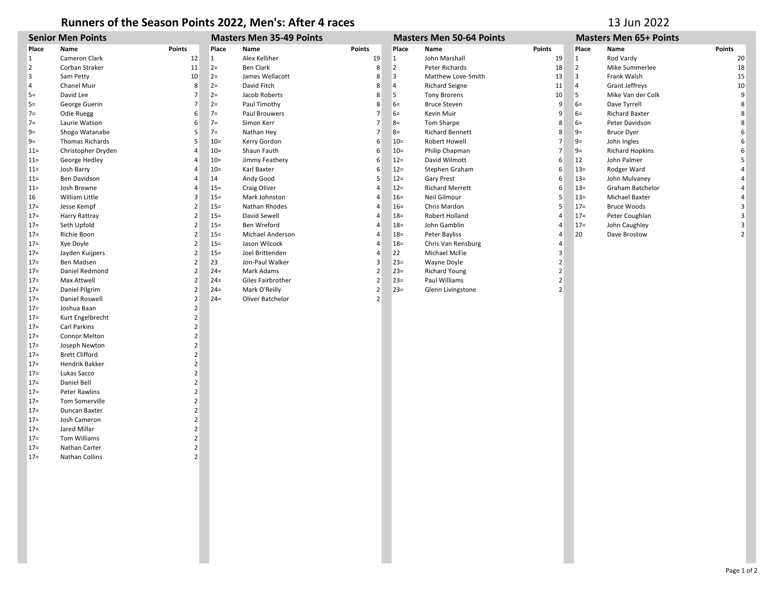## Runners of the Season Points 2022, Men's: After 4 races 13 Jun 2022

| <b>Senior Men Points</b> |                       |                          | <b>Masters Men 35-49 Points</b> |                   |                | <b>Masters Men 50-64 Points</b> |                        |                | <b>Masters Men 65+ Points</b> |                        |                |
|--------------------------|-----------------------|--------------------------|---------------------------------|-------------------|----------------|---------------------------------|------------------------|----------------|-------------------------------|------------------------|----------------|
| Place                    | Name                  | <b>Points</b>            | Place                           | Name              | <b>Points</b>  | Place                           | Name                   | <b>Points</b>  | Place                         | Name                   | Points         |
| 1                        | Cameron Clark         | 12                       | $\mathbf{1}$                    | Alex Kelliher     | 19             | 1                               | John Marshall          | 19             | $\mathbf{1}$                  | Rod Vardy              | 20             |
| $\overline{2}$           | Corban Straker        | 11                       | $2=$                            | <b>Ben Clark</b>  | 8              | $\overline{2}$                  | Peter Richards         | 18             | $\overline{2}$                | Mike Summerlee         | 18             |
| 3                        | Sam Petty             | 10                       | $2=$                            | James Wellacott   | 8              | 3                               | Matthew Love-Smith     | 13             | 3                             | Frank Walsh            | 15             |
| 4                        | Chanel Muir           | 8                        | $2=$                            | David Fitch       | 8              | 4                               | <b>Richard Seigne</b>  | 11             | $\overline{4}$                | <b>Grant Jeffreys</b>  | 10             |
| $5=$                     | David Lee             | $\overline{7}$           | $2=$                            | Jacob Roberts     | 8              | 5                               | <b>Tony Brorens</b>    | 10             | 5                             | Mike Van der Colk      | 9              |
| $5=$                     | George Guerin         | $\overline{7}$           | $2=$                            | Paul Timothy      | 8              | $6=$                            | <b>Bruce Steven</b>    | 9              | $6=$                          | Dave Tyrrell           | 8              |
| $7=$                     | Odie Ruegg            | 6                        | $7=$                            | Paul Brouwers     | $\overline{7}$ | $6=$                            | Kevin Muir             | 9              | $6=$                          | Richard Baxter         | 8              |
| $7=$                     | Laurie Watson         | 6                        | $7=$                            | Simon Kerr        | $\overline{7}$ | $8=$                            | Tom Sharpe             | 8              | $6=$                          | Peter Davidson         | 8              |
| $9 =$                    | Shogo Watanabe        | 5                        | $7=$                            | Nathan Hey        | 7              | $8=$                            | <b>Richard Bennett</b> | 8              | $9=$                          | <b>Bruce Dyer</b>      | 6              |
| $9=$                     | Thomas Richards       | 5                        | $10=$                           | Kerry Gordon      | 6              | $10=$                           | <b>Robert Howell</b>   | 7              | $9=$                          | John Ingles            | 6              |
| $11 =$                   | Christopher Dryden    | $\overline{4}$           | $10=$                           | Shaun Fauth       | 6              | $10=$                           | Philip Chapman         | $\overline{7}$ | $9=$                          | <b>Richard Hopkins</b> | 6              |
| $11 =$                   | George Hedley         | $\overline{4}$           | $10=$                           | Jimmy Feathery    | 6              | $12 =$                          | David Wilmott          | 6              | 12                            | John Palmer            | 5              |
| $11 =$                   | Josh Barry            | 4                        | $10=$                           | Karl Baxter       | 6              | $12 =$                          | Stephen Graham         | 6              | $13 =$                        | Rodger Ward            | 4              |
| $11 =$                   | Ben Davidson          | $\overline{4}$           | 14                              | Andy Good         | 5              | $12 =$                          | Gary Prest             | 6              | $13 =$                        | John Mulvaney          | $\overline{4}$ |
| $11 =$                   | Josh Browne           | 4                        | $15 =$                          | Craig Oliver      | 4              | $12 =$                          | <b>Richard Merrett</b> | 6              | $13 =$                        | Graham Batchelor       | $\overline{a}$ |
| 16                       | William Little        | 3                        | $15 =$                          | Mark Johnston     | 4              | $16=$                           | Neil Gilmour           | 5              | $13 =$                        | <b>Michael Baxter</b>  | $\overline{4}$ |
| $17 =$                   | Jesse Kempf           | $\overline{2}$           | $15 =$                          | Nathan Rhodes     | 4              | $16=$                           | Chris Mardon           | 5              | $17 =$                        | <b>Bruce Woods</b>     | 3              |
| $17=$                    | Harry Rattray         | $\overline{2}$           | $15 =$                          | David Sewell      | 4              | $18 =$                          | Robert Holland         | 4              | $17=$                         | Peter Coughlan         | $\overline{3}$ |
| $17 =$                   | Seth Upfold           | $\overline{2}$           | $15 =$                          | Ben Wreford       | $\overline{4}$ | $18 =$                          | John Gamblin           | 4              | $17=$                         | John Caughley          | 3              |
| $17 =$                   | Richie Boon           | $\overline{2}$           | $15 =$                          | Michael Anderson  | 4              | $18 =$                          | Peter Bayliss          | 4              | 20                            | Dave Brostow           | 2 <sup>1</sup> |
| $17 =$                   | Xye Doyle             | $\overline{2}$           | $15 =$                          | Jason Wilcock     | 4              | $18 =$                          | Chris Van Rensburg     | 4              |                               |                        |                |
| $17=$                    | Jayden Kuijpers       | $\overline{2}$           | $15 =$                          | Joel Brittenden   | $\overline{4}$ | 22                              | Michael McFie          | 3              |                               |                        |                |
| $17 =$                   | Ben Madsen            | $\overline{2}$           | 23                              | Jon-Paul Walker   | 3              | $23=$                           | Wayne Doyle            | $\overline{2}$ |                               |                        |                |
| $17 =$                   | Daniel Redmond        | $\overline{2}$           | $24=$                           | Mark Adams        | $\overline{2}$ | $23=$                           | <b>Richard Young</b>   | $\overline{2}$ |                               |                        |                |
| $17 =$                   | Max Attwell           | $\overline{2}$           | $24=$                           | Giles Fairbrother | $\overline{2}$ | $23=$                           | Paul Williams          | $\overline{2}$ |                               |                        |                |
| $17=$                    | Daniel Pilgrim        | $\overline{2}$           | $24=$                           | Mark O'Reilly     | $\overline{2}$ | $23=$                           | Glenn Livingstone      | $\overline{2}$ |                               |                        |                |
| $17 =$                   | Daniel Roswell        | $\overline{2}$           | $24=$                           | Oliver Batchelor  | $\overline{2}$ |                                 |                        |                |                               |                        |                |
| $17 =$                   | Joshua Baan           | $\overline{2}$           |                                 |                   |                |                                 |                        |                |                               |                        |                |
| $17 =$                   | Kurt Engelbrecht      | $\overline{2}$           |                                 |                   |                |                                 |                        |                |                               |                        |                |
| $17=$                    | Carl Parkins          | $\overline{2}$           |                                 |                   |                |                                 |                        |                |                               |                        |                |
| $17=$                    | Connor Melton         | $\overline{2}$           |                                 |                   |                |                                 |                        |                |                               |                        |                |
| $17=$                    | Joseph Newton         | $\overline{2}$           |                                 |                   |                |                                 |                        |                |                               |                        |                |
| $17 =$                   | <b>Brett Clifford</b> | $\overline{2}$           |                                 |                   |                |                                 |                        |                |                               |                        |                |
| $17 =$                   | Hendrik Bakker        | $\overline{2}$           |                                 |                   |                |                                 |                        |                |                               |                        |                |
| $17=$                    | Lukas Sacco           | $\overline{2}$           |                                 |                   |                |                                 |                        |                |                               |                        |                |
| $17 =$                   | Daniel Bell           | $\overline{2}$           |                                 |                   |                |                                 |                        |                |                               |                        |                |
| $17 =$                   | <b>Peter Rawlins</b>  | $\overline{2}$           |                                 |                   |                |                                 |                        |                |                               |                        |                |
| $17 =$                   | Tom Somerville        | $\overline{2}$           |                                 |                   |                |                                 |                        |                |                               |                        |                |
| $17=$                    | Duncan Baxter         | $\overline{2}$           |                                 |                   |                |                                 |                        |                |                               |                        |                |
| $17 =$                   | Josh Cameron          | $\overline{2}$           |                                 |                   |                |                                 |                        |                |                               |                        |                |
| $17 =$                   | Jared Millar          | $\overline{2}$           |                                 |                   |                |                                 |                        |                |                               |                        |                |
| $17 =$                   | Tom Williams          | $\overline{2}$           |                                 |                   |                |                                 |                        |                |                               |                        |                |
| $17 =$                   | Nathan Carter         | $\overline{2}$           |                                 |                   |                |                                 |                        |                |                               |                        |                |
| $17 =$                   | Nathan Collins        | $\overline{\phantom{a}}$ |                                 |                   |                |                                 |                        |                |                               |                        |                |
|                          |                       |                          |                                 |                   |                |                                 |                        |                |                               |                        |                |
|                          |                       |                          |                                 |                   |                |                                 |                        |                |                               |                        |                |
|                          |                       |                          |                                 |                   |                |                                 |                        |                |                               |                        |                |